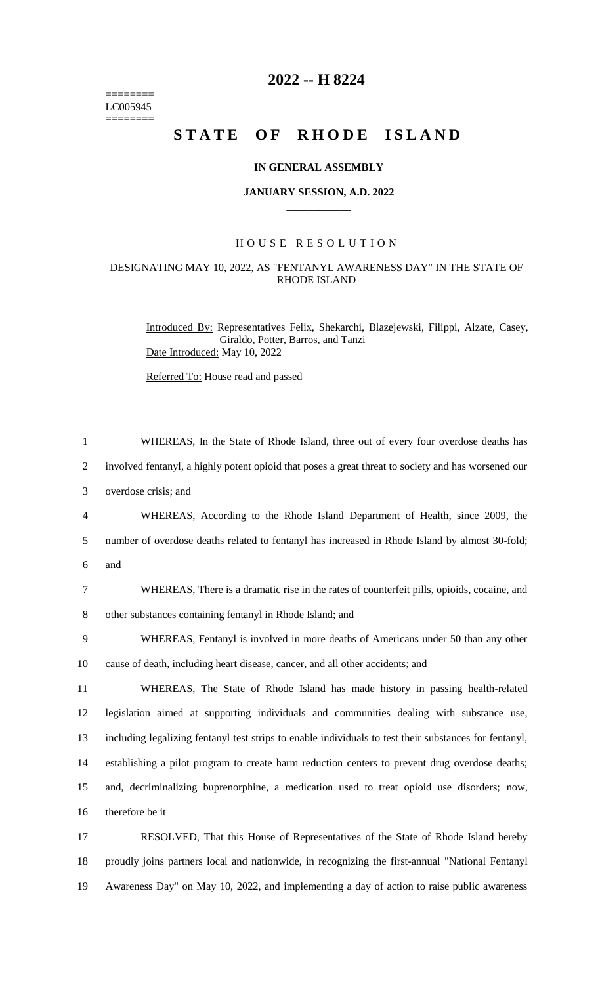======== LC005945 ========

## **2022 -- H 8224**

# **STATE OF RHODE ISLAND**

#### **IN GENERAL ASSEMBLY**

#### **JANUARY SESSION, A.D. 2022 \_\_\_\_\_\_\_\_\_\_\_\_**

#### H O U S E R E S O L U T I O N

### DESIGNATING MAY 10, 2022, AS "FENTANYL AWARENESS DAY" IN THE STATE OF RHODE ISLAND

Introduced By: Representatives Felix, Shekarchi, Blazejewski, Filippi, Alzate, Casey, Giraldo, Potter, Barros, and Tanzi Date Introduced: May 10, 2022

Referred To: House read and passed

| $\mathbf{1}$   | WHEREAS, In the State of Rhode Island, three out of every four overdose deaths has                     |
|----------------|--------------------------------------------------------------------------------------------------------|
| $\overline{2}$ | involved fentanyl, a highly potent opioid that poses a great threat to society and has worsened our    |
| 3              | overdose crisis; and                                                                                   |
| $\overline{4}$ | WHEREAS, According to the Rhode Island Department of Health, since 2009, the                           |
| 5              | number of overdose deaths related to fentanyl has increased in Rhode Island by almost 30-fold;         |
| 6              | and                                                                                                    |
| 7              | WHEREAS, There is a dramatic rise in the rates of counterfeit pills, opioids, cocaine, and             |
| $8\,$          | other substances containing fentanyl in Rhode Island; and                                              |
| 9              | WHEREAS, Fentanyl is involved in more deaths of Americans under 50 than any other                      |
| 10             | cause of death, including heart disease, cancer, and all other accidents; and                          |
| 11             | WHEREAS, The State of Rhode Island has made history in passing health-related                          |
| 12             | legislation aimed at supporting individuals and communities dealing with substance use,                |
| 13             | including legalizing fentanyl test strips to enable individuals to test their substances for fentanyl, |
| 14             | establishing a pilot program to create harm reduction centers to prevent drug overdose deaths;         |
| 15             | and, decriminalizing buprenorphine, a medication used to treat opioid use disorders; now,              |
| 16             | therefore be it                                                                                        |
| 17             | RESOLVED, That this House of Representatives of the State of Rhode Island hereby                       |
| 18             | proudly joins partners local and nationwide, in recognizing the first-annual "National Fentanyl        |

19 Awareness Day" on May 10, 2022, and implementing a day of action to raise public awareness